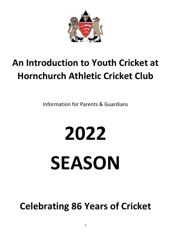

# **An Introduction to Youth Cricket at Hornchurch Athletic Cricket Club**

Information for Parents & Guardians

# **2022 SEASON**

**Celebrating 86 Years of Cricket**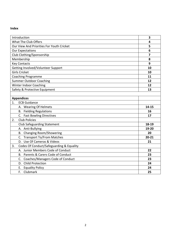#### **Index**

| Introduction                                   | 3         |
|------------------------------------------------|-----------|
| What The Club Offers                           | 4         |
| Our View And Priorities For Youth Cricket      | 5         |
| <b>Our Expectations</b>                        | 6         |
| Club Clothing/Sponsorship                      | 7         |
| Membership                                     | 8         |
| <b>Key Contacts</b>                            | 9         |
| Getting Involved/Volunteer Support             | 10        |
| <b>Girls Cricket</b>                           | 10        |
| <b>Coaching Programme</b>                      | 11        |
| <b>Summer Outdoor Coaching</b>                 | 12        |
| <b>Winter Indoor Coaching</b>                  | 12        |
| Safety & Protective Equipment                  | 13        |
|                                                |           |
| <b>Appendices</b>                              |           |
| 1.<br><b>ECB Guidance</b>                      |           |
| A. Wearing Of Helmets                          | 14-15     |
| <b>B.</b> Fielding Regulations                 | 16        |
| C. Fast Bowling Directives                     | 17        |
| 2.<br><b>Club Policies</b>                     |           |
| <b>Club Safeguarding Statement</b>             | 18-19     |
| A. Anti-Bullying                               | 19-20     |
| B. Changing Room/Showering                     | 20        |
| C. Transport To/From Matches                   | $20 - 21$ |
| D. Use Of Cameras & Videos                     | 21        |
| Codes Of Conduct/Safeguarding & Equality<br>3. |           |
| A. Junior Members Code of Conduct              | 22        |
| B. Parents & Carers Code of Conduct            | 23        |
| C. Coaches/Managers Code of Conduct            | 23        |
| D. Child Protection                            | 24        |
| E. Equality Policy                             | 24        |
| F. Clubmark                                    | 25        |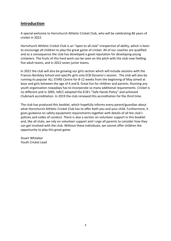# **Introduction**

A special welcome to Hornchurch Athletic Cricket Club, who will be celebrating 86 years of cricket in 2022.

Hornchurch Athletic Cricket Club is an "open to all club" irrespective of ability, which is keen to encourage all children to play the great game of cricket. All of our coaches are qualified and as a consequence the club has developed a good reputation for developing young cricketers. The fruits of this hard work can be seen on the pitch with the club now fielding five adult teams, and in 2022 seven junior teams.

In 2022 the club will also be growing our girls section which will include sessions with the Frances Bardsley School and specific girls only ECB Dynamo's session. The club will also be running its popular ALL STARS Centre for 8-12 weeks from the beginning of May aimed at boys and girls between the age of 4 and 8. Great fun for children and parents. Running any youth organisation nowadays has to incorporate so many additional requirements. Cricket is no different and in 2005, HACC adopted the ECB's "Safe Hands Policy" and achieved Clubmark accreditation. In 2019 the club renewed this accreditation for the third time.

The club has produced this booklet, which hopefully informs every parent/guardian about what Hornchurch Athletic Cricket Club has to offer both you and your child. Furthermore, it gives guidance on safety equipment requirements together with details of all the club's policies and codes of conduct. There is also a section on volunteer support in this booklet and, like all clubs, we rely on volunteer support and I urge all parents to consider how they can get involved with the club. Without these individuals, we cannot offer children the opportunity to play this great game.

Stuart Whitaker Youth Cricket Lead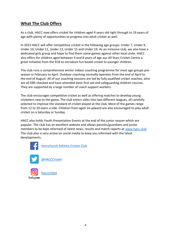# **What The Club Offers**

As a club, HACC now offers cricket for children aged 4 years old right through to 19 years of age with plenty of opportunities to progress into adult cricket as well.

In 2022 HACC will offer competitive cricket in the following age groups: Under 7, Under 9, Under 10, Under 11, Under 13, Under 15 and Under 19. As an inclusive club, we also have a dedicated girls group and hope to find them some games against other local clubs. HACC also offers for children aged between 4 and 8 years of age our All Stars Cricket Centre a great initiative from the ECB to introduce fun based cricket to younger children.

The club runs a comprehensive winter indoor coaching programme for most age groups preseason in February to April. Outdoor coaching normally operates from the end of April to the end of August. All of our coaching sessions are led by fully qualified cricket coaches, who are all DBS checked and have attended basic first aid and safeguarding children courses. They are supported by a large number of coach support workers.

The club encourages competitive cricket as well as offering matches to develop young cricketers new to the game. The club enters sides into two different leagues, all carefully selected to improve the standard of cricket played at the club. Most of the games range from 12 to 20 overs a side. Children from aged 14 upward are also encouraged to play adult cricket on a Saturday or Sunday.

HACC also holds Youth Presentation Events at the end of the junior season which are popular. The club has an excellent website and allows parents/guardians and junior members to be kept informed of latest news, results and match reports at [www.hacc.club](http://www.hacc.club/) The club also is very active on social media to keep you informed with the latest developments.



[Hornchurch Athletic Cricket Club](https://www.facebook.com/HornchurchAthleticCricketClub/)



[hacccricket](https://www.instagram.com/hornchurch_athletic_cricket/?hl=en)

Instagram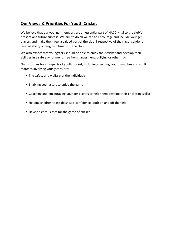# **Our Views & Priorities For Youth Cricket**

We believe that our younger members are an essential part of HACC, vital to the club's present and future success. We aim to do all we can to encourage and include younger players and make them feel a valued part of the club, irrespective of their age, gender or level of ability or length of time with the club.

We also expect that youngsters should be able to enjoy their cricket and develop their abilities in a safe environment, free from harassment, bullying or other risks.

Our priorities for all aspects of youth cricket, including coaching, youth matches and adult matches involving youngsters, are:

- The safety and welfare of the individual;
- Enabling youngsters to enjoy the game
- Coaching and encouraging younger players to help them develop their cricketing skills;
- Helping children to establish self-confidence, both on and off the field;
- **Develop enthusiasm for the game of cricket.**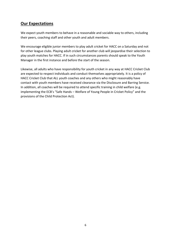# **Our Expectations**

We expect youth members to behave in a reasonable and sociable way to others, including their peers, coaching staff and other youth and adult members.

We encourage eligible junior members to play adult cricket for HACC on a Saturday and not for other league clubs. Playing adult cricket for another club will jeopardise their selection to play youth matches for HACC. If in such circumstances parents should speak to the Youth Manager in the first instance and before the start of the season.

Likewise, all adults who have responsibility for youth cricket in any way at HACC Cricket Club are expected to respect individuals and conduct themselves appropriately. It is a policy of HACC Cricket Club that ALL youth coaches and any others who might reasonably have contact with youth members have received clearance via the Disclosure and Barring Service. In addition, all coaches will be required to attend specific training in child welfare (e.g. implementing the ECB's "Safe Hands – Welfare of Young People in Cricket Policy" and the provisions of the Child Protection Act).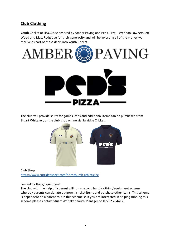# **Club Clothing**

Youth Cricket at HACC is sponsored by Amber Paving and Peds Pizza. We thank owners Jeff Wood and Matt Redgrave for their generosity and will be investing all of the money we receive as part of these deals into Youth Cricket.



The club will provide shirts for games, caps and additional items can be purchased from Stuart Whitaker, or the club shop online via Surridge Cricket.



Club Shop <https://www.surridgesport.com/hornchurch-athletic-cc>

#### Second Clothing/Equipment

The club with the help of a parent will run a second hand clothing/equipment scheme whereby parents can donate outgrown cricket items and purchase other items. This scheme is dependent on a parent to run this scheme so if you are interested in helping running this scheme please contact Stuart Whitaker Youth Manager on 07732 294417.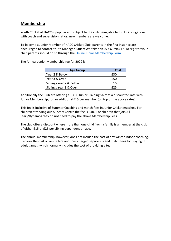# **Membership**

Youth Cricket at HACC is popular and subject to the club being able to fulfil its obligations with coach and supervision ratios, new members are welcome.

To become a Junior Member of HACC Cricket Club, parents in the first instance are encouraged to contact Youth Manager, Stuart Whitaker on 07732 294417. To register your child parents should do so through the [Online Junior Membership Form.](https://forms.gle/WuLMwaeP9Y5cySbW7)

The Annual Junior Membership fee for 2022 is;

| <b>Age Group</b>        | Cost |
|-------------------------|------|
| Year 2 & Below          | £30  |
| Year 3 & Over           | £50  |
| Siblings Year 2 & Below | £15  |
| Siblings Year 3 & Over  |      |

Additionally the Club are offering a HACC Junior Training Shirt at a discounted rate with Junior Membership, for an additional £15 per member (on top of the above rates).

This fee is inclusive of Summer Coaching and match fees in Junior Cricket matches. For children attending our All Stars Centre the fee is £40. For children that join All Stars/Dynamos they do not need to pay the above Membership Fees.

The club offer a discount where more than one child from a family is a member at the club of either £15 or £25 per sibling dependent on age.

The annual membership, however, does not include the cost of any winter indoor coaching, to cover the cost of venue hire and thus charged separately and match fees for playing in adult games, which normally includes the cost of providing a tea.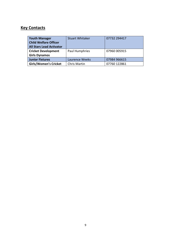# **Key Contacts**

| <b>Youth Manager</b><br><b>Child Welfare Officer</b><br><b>All Stars Lead Activator</b> | <b>Stuart Whitaker</b> | 07732 294417 |
|-----------------------------------------------------------------------------------------|------------------------|--------------|
| <b>Cricket Development</b>                                                              | Paul Humphries         | 07960 005915 |
| <b>Girls Dynamos</b>                                                                    |                        |              |
| <b>Junior Fixtures</b>                                                                  | Laurence Weeks         | 07984 966615 |
| <b>Girls/Women's Cricket</b>                                                            | <b>Chris Martin</b>    | 07760 122861 |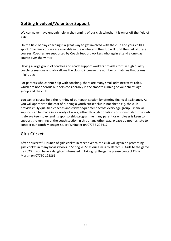# **Getting Involved/Volunteer Support**

We can never have enough help in the running of our club whether it is on or off the field of play.

On the field of play coaching is a great way to get involved with the club and your child's sport. Coaching courses are available in the winter and the club will fund the cost of these courses. Coaches are supported by Coach Support workers who again attend a one day course over the winter.

Having a large group of coaches and coach support workers provides for fun high quality coaching sessions and also allows the club to increase the number of matches that teams might play.

For parents who cannot help with coaching, there are many small administrative roles, which are not onerous but help considerably in the smooth running of your child's age group and the club.

You can of course help the running of our youth section by offering financial assistance. As you will appreciate the cost of running a youth cricket club is not cheap e.g. the club provides fully qualified coaches and cricket equipment across every age group. Financial support can be made in a variety of ways, either through donations or sponsorship. The club is always keen to extend its sponsorship programme If any parent or employer is keen to support the running of the youth section in this or any other way, please do not hesitate to contact our Youth Manager Stuart Whitaker on 07732 294417.

# **Girls Cricket**

After a successful launch of girls cricket in recent years, the club will again be promoting girls cricket in many local schools in Spring 2022 as our aim is to attract 50 Girls to the game by 2023. If you have a daughter interested in taking up the game please contact Chris Martin on 07760 122861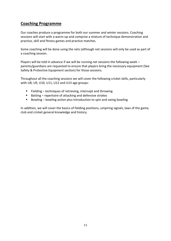# **Coaching Programme**

Our coaches produce a programme for both our summer and winter sessions. Coaching sessions will start with a warm-up and comprise a mixture of technique demonstration and practice, skill and fitness games and practice matches.

Some coaching will be done using the nets (although net sessions will only be used as part of a coaching session.

Players will be told in advance if we will be running net sessions the following week – parents/guardians are requested to ensure that players bring the necessary equipment (See Safety & Protective Equipment section) for those sessions.

Throughout all the coaching sessions we will cover the following cricket skills, particularly with U8, U9, U10, U11, U12 and U13 age groups:

- Fielding techniques of retrieving, intercept and throwing
- Batting repertoire of attacking and defensive strokes
- Bowling bowling action plus introduction to spin and swing bowling

In addition, we will cover the basics of fielding positions, umpiring signals, laws of the game, club and cricket general knowledge and history.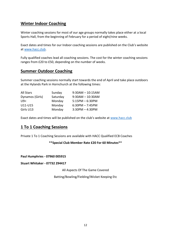# **Winter Indoor Coaching**

Winter coaching sessions for most of our age groups normally takes place either at a local Sports Hall, from the beginning of February for a period of eight/nine weeks.

Exact dates and times for our Indoor coaching sessions are published on the Club's website at [www.hacc.club.](http://www.hacc.club/)

Fully qualified coaches lead all coaching sessions. The cost for the winter coaching sessions ranges from £20 to £50, depending on the number of weeks.

#### **Summer Outdoor Coaching**

Summer coaching sessions normally start towards the end of April and take place outdoors at the Hylands Park in Hornchurch at the following times:

| All Stars       | Sunday   | $9:30AM - 10:15AM$ |
|-----------------|----------|--------------------|
| Dynamos (Girls) | Saturday | $9:30AM - 10:30AM$ |
| U9<             | Monday   | $5:15PM - 6:30PM$  |
| U11-U15         | Monday   | $6:30PM - 7:45PM$  |
| Girls U13       | Monday   | $3:30PM - 4:30PM$  |

Exact dates and times will be published on the club's website at [www.hacc.club](http://www.hacc.club/)

### **1 To 1 Coaching Sessions**

Private 1 To 1 Coaching Sessions are available with HACC Qualified ECB Coaches

#### **\*\*Special Club Member Rate £20 For 60 Minutes\*\***

**Paul Humphries - 07960 005915**

**Stuart Whitaker - 07732 294417**

All Aspects Of The Game Covered

Batting/Bowling/Fielding/Wicket Keeping Etc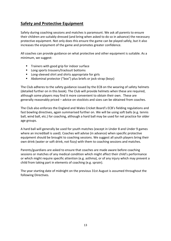# **Safety and Protective Equipment**

Safety during coaching sessions and matches is paramount. We ask all parents to ensure their children are suitably dressed (and bring when asked to do so in advance) the necessary protective equipment. Not only does this ensure the game can be played safely, but it also increases the enjoyment of the game and promotes greater confidence.

All coaches can provide guidance on what protective and other equipment is suitable. As a minimum, we suggest:

- Trainers with good grip for indoor surface
- Long sports trousers/tracksuit bottoms
- Long-sleeved shirt and shirts appropriate for girls
- Abdominal protector ("box") plus briefs or jock-strap (boys)

The Club adheres to the safety guidance issued by the ECB on the wearing of safety helmets (detailed further on in this book). The Club will provide helmets when these are required, although some players may find it more convenient to obtain their own. These are generally reasonably priced – advice on stockists and sizes can be obtained from coaches.

The Club also enforces the England and Wales Cricket Board's ECB's fielding regulations and fast bowling directives, again summarised further on. We will be using soft balls (e.g. tennis ball, wind ball, etc.) for coaching, although a hard ball may be used for net practice for older age groups.

A hard ball will generally be used for youth matches (except in Under 8 and Under 9 games where an incrediball is used). Coaches will advise (in advance) when specific protective equipment should be brought to coaching sessions. We suggest all youth players bring their own drink (water or soft drink, not fizzy) with them to coaching sessions and matches.

Parents/guardians are asked to ensure that coaches are made aware before coaching sessions or matches of any medical condition which might affect their child's performance or which might require specific attention (e.g. asthma), or of any injury which may prevent a child from taking part in elements of coaching (e.g. sprain).

The year starting date of midnight on the previous 31st August is assumed throughout the following Directives.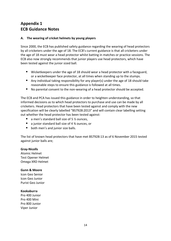# **Appendix 1 ECB Guidance Notes**

#### **A. The wearing of cricket helmets by young players**

Since 2000, the ECB has published safety guidance regarding the wearing of head protectors by all cricketers under the age of 18. The ECB's current guidance is that all cricketers under the age of 18 must wear a head protector whilst batting in matches or practice sessions. The ECB also now strongly recommends that junior players use head protectors, which have been tested against the junior sized ball.

- Wicketkeepers under the age of 18 should wear a head protector with a faceguard, or a wicketkeeper face protector, at all times when standing up to the stumps.
- Any individual taking responsibility for any player(s) under the age of 18 should take reasonable steps to ensure this guidance is followed at all times.
- No parental consent to the non-wearing of a head protector should be accepted.

The ECB and PCA has issued this guidance in order to heighten understanding, so that informed decisions as to which head protectors to purchase and use can be made by all cricketers. Head protectors that have been tested against and comply with the new specification will be clearly labelled "BS7928:2013" and will contain clear labelling setting out whether the head protector has been tested against:

- a men's standard ball size of 5  $\frac{1}{2}$  ounces.
- a junior standard ball size of 4 ¾ ounces, or
- both men's and junior size balls.

The list of known head protectors that have met BS7928:13 as of 6 November 2015 tested against junior balls are;

#### **Gray-Nicolls**

Atomic Helmet Test Opener Helmet Omega XRD Helmet

#### **Gunn & Moore**

Icon Geo Senior Icon Geo Junior Purist Geo Junior

#### **Kookaburra**

Pro 400 Junior Pro 400 Mini Pro 800 Junior Viper Junior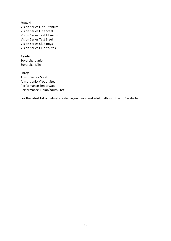#### **Masuri**

Vision Series Elite Titanium Vision Series Elite Steel Vision Series Test Titanium Vision Series Test Steel Vision Series Club Boys Vision Series Club Youths

#### **Reader**

Sovereign Junior Sovereign Mini

#### **Shrey**

Armor Senior Steel Armor Junior/Youth Steel Performance Senior Steel Performance Junior/Youth Steel

For the latest list of helmets tested again junior and adult balls visit the ECB website.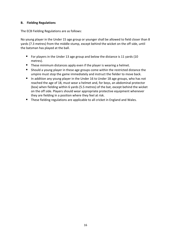#### **B. Fielding Regulations**

The ECB Fielding Regulations are as follows:

No young player in the Under 15 age group or younger shall be allowed to field closer than 8 yards (7.3 metres) from the middle stump, except behind the wicket on the off side, until the batsman has played at the ball.

- For players in the Under 13 age group and below the distance is 11 yards (10 metres).
- These minimum distances apply even if the player is wearing a helmet.
- Should a young player in these age groups come within the restricted distance the umpire must stop the game immediately and instruct the fielder to move back.
- In addition any young player in the Under 16 to Under 18 age groups, who has not reached the age of 18, must wear a helmet and, for boys, an abdominal protector (box) when fielding within 6 yards (5.5 metres) of the bat, except behind the wicket on the off side. Players should wear appropriate protective equipment whenever they are fielding in a position where they feel at risk.
- These fielding regulations are applicable to all cricket in England and Wales.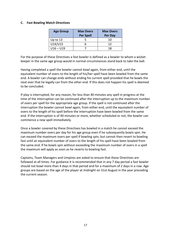#### **C. Fast Bowling Match Directives**

| <b>Age Group</b> | <b>Max Overs</b><br><b>Per Spell</b> | <b>Max Overs</b><br>Per Day |
|------------------|--------------------------------------|-----------------------------|
| Up to $13$       |                                      | 10                          |
| U14/U15          |                                      | 12                          |
| $U16 - U19$      |                                      | 18                          |

For the purpose of these Directives a fast bowler is defined as a bowler to whom a wicket keeper in the same age group would in normal circumstances stand back to take the ball.

Having completed a spell the bowler cannot bowl again, from either end, until the equivalent number of overs to the length of his/her spell have been bowled from the same end. A bowler can change ends without ending his current spell provided that he bowls the next over that he legally can from the other end. If this does not happen his spell is deemed to be concluded.

If play is interrupted, for any reason, for less than 40 minutes any spell in progress at the time of the interruption can be continued after the interruption up to the maximum number of overs per spell for the appropriate age group. If the spell is not continued after the interruption the bowler cannot bowl again, from either end, until the equivalent number of overs to the length of his spell before the interruption have been bowled from the same end. If the interruption is of 40 minutes or more, whether scheduled or not, the bowler can commence a new spell immediately.

Once a bowler covered by these Directives has bowled in a match he cannot exceed the maximum number overs per day for his age group even if he subsequently bowls spin. He can exceed the maximum overs per spell if bowling spin, but cannot then revert to bowling fast until an equivalent number of overs to the length of his spell have been bowled from the same end. If he bowls spin without exceeding the maximum number of overs in a spell the maximum will apply as soon as he reverts to bowling fast.

Captains, Team Managers and Umpires are asked to ensure that these Directives are followed at all times. For guidance it is recommended that in any 7 day period a fast bowler should not bowl more than 4 days in that period and for a maximum of 2 days in a row. Age groups are based on the age of the player at midnight on 31st August in the year preceding the current season.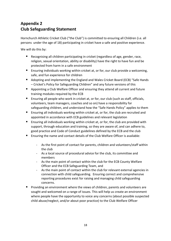# **Appendix 2 Club Safeguarding Statement**

Hornchurch Athletic Cricket Club ("the Club") is committed to ensuring all Children (i.e. all persons under the age of 18) participating in cricket have a safe and positive experience.

We will do this by:

- Recognising all children participating in cricket (regardless of age, gender, race, religion, sexual orientation, ability or disability) have the right to have fun and be protected from harm in a safe environment
- Ensuring individuals working within cricket at, or for, our club provide a welcoming, safe, and fun experience for children
- Adopting and implementing the England and Wales Cricket Board (ECB) "Safe Hands – Cricket's Policy for Safeguarding Children" and any future versions of this
- Appointing a Club Welfare Officer and ensuring they attend all current and future training modules required by the ECB
- Ensuring all people who work in cricket at, or for, our club (such as staff, officials, volunteers, team managers, coaches and so on) have a responsibility for safeguarding children, and understand how the "Safe Hands Policy" applies to them
- Ensuring all individuals working within cricket at, or for, the club are recruited and appointed in accordance with ECB guidelines and relevant legislation
- Ensuring all individuals working within cricket at, or for, the club are provided with support, through education and training, so they are aware of, and can adhere to, good practice and Code of Conduct guidelines defined by the ECB and the club
- Ensuring the name and contact details of the Club Welfare Officer is available:
	- As the first point of contact for parents, children and volunteers/staff within the club
	- As a local source of procedural advice for the club, its committee and members
	- As the main point of contact within the club for the ECB County Welfare Officer and the ECB Safeguarding Team, and
	- As the main point of contact within the club for relevant external agencies in connection with child safeguarding. Ensuring correct and comprehensive reporting procedures exist for raising and managing child safeguarding concerns.
- Providing an environment where the views of children, parents and volunteers are sought and welcomed on a range of issues. This will help us create an environment where people have the opportunity to voice any concerns (about possible suspected child abuse/neglect, and/or about poor practice) to the Club Welfare Officer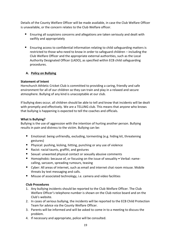Details of the County Welfare Officer will be made available, in case the Club Welfare Officer is unavailable, or the concern relates to the Club Welfare officer.

- Ensuring all suspicions concerns and allegations are taken seriously and dealt with swiftly and appropriately
- Ensuring access to confidential information relating to child safeguarding matters is restricted to those who need to know in order to safeguard children – including the Club Welfare Officer and the appropriate external authorities, such as the Local Authority Designated Officer (LADO), as specified within ECB child safeguarding procedures.

#### **A. Policy on Bullying**

#### **Statement of Intent**

Hornchurch Athletic Cricket Club is committed to providing a caring, friendly and safe environment for all of our children so they can train and play in a relaxed and secure atmosphere. Bullying of any kind is unacceptable at our club.

If bullying does occur, all children should be able to tell and know that incidents will be dealt with promptly and effectively. We are a TELLING club. This means that anyone who knows that bullying is happening is expected to tell the coaches and officials.

#### **What Is Bullying?**

Bullying is the use of aggression with the intention of hurting another person. Bullying results in pain and distress to the victim. Bullying can be:

- Emotional: being unfriendly, excluding, tormenting (e.g. hiding kit, threatening gestures)
- Physical: pushing, kicking, hitting, punching or any use of violence
- Racist: racial taunts, graffiti, and gestures
- Sexual: unwanted physical contact or sexually abusive comments
- Homophobic: because of, or focusing on the issue of sexuality Verbal: namecalling, sarcasm, spreading rumours, teasing
- Cyber: All areas of internet, such as email and internet chat room misuse. Mobile threats by text messaging and calls.
- Misuse of associated technology, i.e. camera and video facilities

#### **Club Procedures**

- 1. Any bullying incidents should be reported to the Club Welfare Officer. The Club Welfare Officer's telephone number is shown on the Club notice board and on the Club's website.
- 2. In cases of serious bullying, the incidents will be reported to the ECB Child Protection Team for advice via the County Welfare Officer.
- 3. Parents will be informed and will be asked to come in to a meeting to discuss the problem.
- 4. If necessary and appropriate, police will be consulted.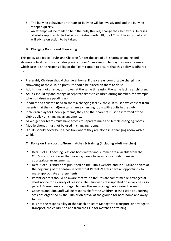- 5. The bullying behaviour or threats of bullying will be investigated and the bullying stopped quickly.
- 6. An attempt will be made to help the bully (bullies) change their behaviour. In cases of adults reported to be bullying cricketers under 18, the ECB will be informed and will advise on action to be taken.

#### **B. Changing Rooms and Showering**

This policy applies to Adults and Children (under the age of 18) sharing changing and showering facilities. This includes players under 18 moving-on to play for senior teams in which case it is the responsibility of the Team captain to ensure that this policy is adhered to.

- Preferably Children should change at home. If they are uncomfortable changing or showering at the club, no pressure should be placed on them to do so.
- Adults must not change, or shower at the same time using the same facility as children.
- Adults should try and change at separate times to children during matches, for example when children are padding up.
- If adults and children need to share a changing facility, the club must have consent from parents that their child(ren) can share a changing room with adults in the club.
- **■** If children play for Open Age teams, they and their parents must be informed of the club's policy on changing arrangements.
- Mixed gender teams must have access to separate male and female changing rooms.
- Mobile phones must not be used in changing rooms.
- Adults should never be in a position where they are alone in a changing room with a Child.

#### **C. Policy on Transport to/from matches & training (including adult matches)**

- Details of all Coaching Sessions both winter and summer are available from the Club's website in order that Parents/Carers have an opportunity to make appropriate arrangements.
- Details of all Fixtures are published on the Club's website and in a Fixture booklet at the beginning of the season in order that Parents/Carers have an opportunity to make appropriate arrangements.
- Parents/Carers should be aware that youth fixtures are sometimes re-arranged at short notice for a variety of reasons. The Club website is updated on a daily basis so parents/carers are encouraged to view the website regularly during the season.
- Coaches and Club Staff will be responsible for the Children in their care at Coaching sessions organised by the Club or on arrival at the ground for both home and away fixtures.
- It is not the responsibility of the Coach or Team Manager to transport, or arrange to transport, the children to and from the Club for matches or training.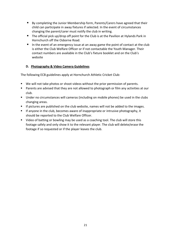- By completing the Junior Membership form, Parents/Carers have agreed that their child can participate in away fixtures if selected. In the event of circumstances changing the parent/carer must notify the club in writing.
- The official pick up/drop off point for the Club is at the Pavilion at Hylands Park in Hornchurch off the Osborne Road.
- In the event of an emergency issue at an away game the point of contact at the club is either the Club Welfare Officer or if not contactable the Youth Manager. Their contact numbers are available in the Club's fixture booklet and on the Club's website

#### **D. Photography & Video Camera Guidelines**

The following ECB guidelines apply at Hornchurch Athletic Cricket Club:

- We will not take photos or shoot videos without the prior permission of parents.
- Parents are advised that they are not allowed to photograph or film any activities at our club.
- Under no circumstances will cameras (including on mobile phones) be used in the clubs changing areas.
- If pictures are published on the club website, names will not be added to the images.
- **E** If anyone in the club, becomes aware of inappropriate or intrusive photography, it should be reported to the Club Welfare Officer.
- Video of batting or bowling may be used as a coaching tool. The club will store this footage safely and only show it to the relevant player. The club will delete/erase the footage if so requested or if the player leaves the club.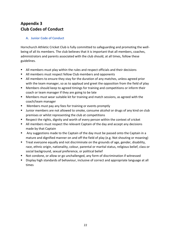# **Appendix 3 Club Codes of Conduct**

#### **A. Junior Code of Conduct**

Hornchurch Athletic Cricket Club is fully committed to safeguarding and promoting the wellbeing of all its members. The club believes that it is important that all members, coaches, administrators and parents associated with the club should, at all times, follow these guidelines.

- All members must play within the rules and respect officials and their decisions
- All members must respect fellow Club members and opponents
- All members to ensure they stay for the duration of any matches, unless agreed prior with the team manager, so as to applaud and greet the opposition from the field of play
- Members should keep to agreed timings for training and competitions or inform their coach or team manager if they are going to be late
- Members must wear suitable kit for training and match sessions, as agreed with the coach/team manager
- Members must pay any fees for training or events promptly
- Junior members are not allowed to smoke, consume alcohol or drugs of any kind on club premises or whilst representing the club at competitions
- Respect the rights, dignity and worth of every person within the context of cricket
- All members must respect the relevant Captain of the day and accept any decisions made by that Captain
- Any suggestions made to the Captain of the day must be passed onto the Captain in a mature and dignified manner on and off the field of play (e.g. Not shouting or moaning)
- Treat everyone equally and not discriminate on the grounds of age, gender, disability, race, ethnic origin, nationality, colour, parental or marital status, religious belief, class or social background, sexual preference, or political belief
- Not condone, or allow or go unchallenged, any form of discrimination if witnessed
- Display high standards of behaviour, inclusive of correct and appropriate language at all times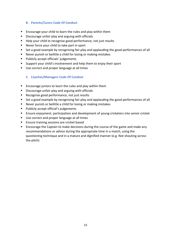#### **B. Parents/Carers Code Of Conduct**

- Encourage your child to learn the rules and play within them
- Discourage unfair play and arguing with officials
- Help your child to recognise good performance, not just results
- Never force your child to take part in sport
- Set a good example by recognising fair play and applauding the good performances of all
- Never punish or belittle a child for losing or making mistakes
- Publicly accept officials' judgements
- Support your child's involvement and help them to enjoy their sport
- Use correct and proper language at all times

#### **C. Coaches/Managers Code Of Conduct**

- Encourage juniors to learn the rules and play within them
- Discourage unfair play and arguing with officials
- Recognise good performance, not just results
- Set a good example by recognising fair play and applauding the good performances of all
- Never punish or belittle a child for losing or making mistakes
- Publicly accept official's judgements
- Ensure enjoyment, participation and development of young cricketers into senior cricket
- Use correct and proper language at all times
- Ensure training sessions are cricket based
- Encourage the Captain to make decisions during the course of the game and make any recommendations or advice during the appropriate time in a match, using the questioning technique and in a mature and dignified manner (e.g. Not shouting across the pitch)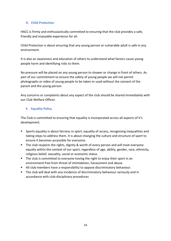#### **D. Child Protection**

HACC is firmly and enthusiastically committed to ensuring that the club provides a safe, friendly and enjoyable experience for all.

Child Protection is about ensuring that any young person or vulnerable adult is safe in any environment.

It is also an awareness and education of others to understand what factors cause young people harm and identifying risks to them.

No pressure will be placed on any young person to shower or change in front of others. As part of our commitment to ensure the safety of young people we will not permit photographs or video of young people to be taken or used without the consent of the parent and the young person.

Any concerns or complaints about any aspect of the club should be shared immediately with our Club Welfare Officer.

#### **E. Equality Policy**

The Club is committed to ensuring that equality is incorporated across all aspects of it's development.

- Sports equality is about fairness in sport, equality of access, recognising inequalities and taking steps to address them. It is about changing the culture and structure of sport to ensure it becomes accessible for everyone.
- The club respects the rights, dignity & worth of every person and will treat everyone equally within the context of our sport, regardless of age, ability, gender, race, ethnicity, religious belief, sexuality, social or economic status.
- The club is committed to everyone having the right to enjoy their sport in an environment free from threat of intimidation, harassment and abuse.
- **E** All club members have a responsibility to oppose discriminatory behaviour.
- The club will deal with any incidence of discriminatory behaviour seriously and in accordance with club disciplinary procedures